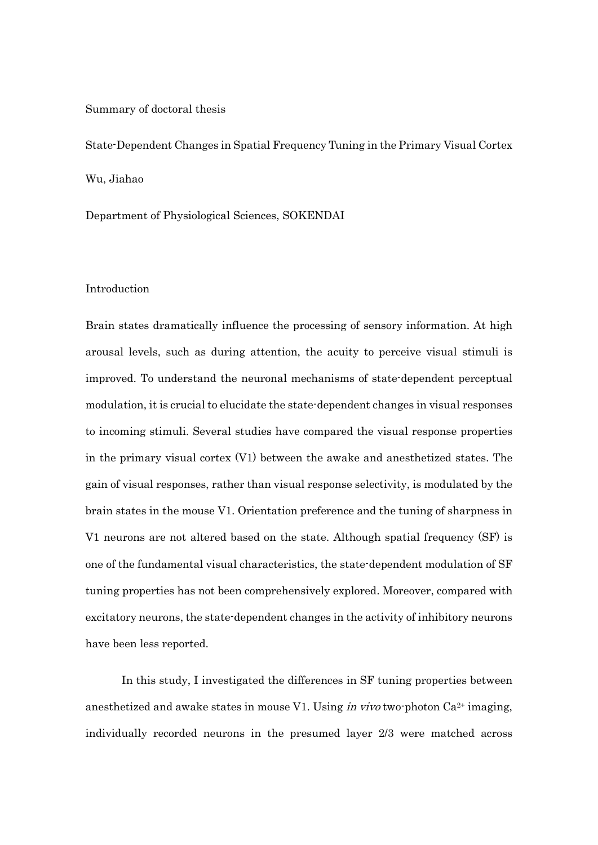### Summary of doctoral thesis

State-Dependent Changes in Spatial Frequency Tuning in the Primary Visual Cortex Wu, Jiahao

Department of Physiological Sciences, SOKENDAI

### Introduction

Brain states dramatically influence the processing of sensory information. At high arousal levels, such as during attention, the acuity to perceive visual stimuli is improved. To understand the neuronal mechanisms of state-dependent perceptual modulation, it is crucial to elucidate the state-dependent changes in visual responses to incoming stimuli. Several studies have compared the visual response properties in the primary visual cortex (V1) between the awake and anesthetized states. The gain of visual responses, rather than visual response selectivity, is modulated by the brain states in the mouse V1. Orientation preference and the tuning of sharpness in V1 neurons are not altered based on the state. Although spatial frequency (SF) is one of the fundamental visual characteristics, the state-dependent modulation of SF tuning properties has not been comprehensively explored. Moreover, compared with excitatory neurons, the state-dependent changes in the activity of inhibitory neurons have been less reported.

In this study, I investigated the differences in SF tuning properties between anesthetized and awake states in mouse V1. Using in vivo two-photon  $Ca^{2+}$  imaging, individually recorded neurons in the presumed layer 2/3 were matched across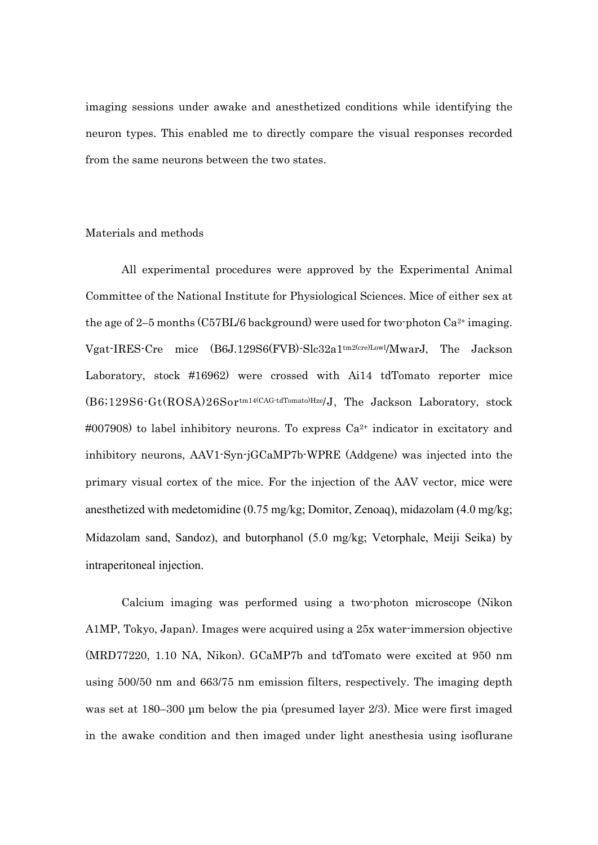imaging sessions under awake and anesthetized conditions while identifying the neuron types. This enabled me to directly compare the visual responses recorded from the same neurons between the two states.

## Materials and methods

All experimental procedures were approved by the Experimental Animal Committee of the National Institute for Physiological Sciences. Mice of either sex at the age of 2–5 months  $(C57BL/6$  background) were used for two-photon  $Ca^{2+}$  imaging. Vgat-IRES-Cre mice (B6J.129S6(FVB)-Slc32a1tm2(cre)Lowl/MwarJ, The Jackson Laboratory, stock #16962) were crossed with Ai14 tdTomato reporter mice (B6;129S6-Gt(ROSA)26Sortm14(CAG-tdTomato)Hze/J, The Jackson Laboratory, stock  $\#007908$ ) to label inhibitory neurons. To express  $Ca^{2+}$  indicator in excitatory and inhibitory neurons, AAV1-Syn-jGCaMP7b-WPRE (Addgene) was injected into the primary visual cortex of the mice. For the injection of the AAV vector, mice were anesthetized with medetomidine (0.75 mg/kg; Domitor, Zenoaq), midazolam (4.0 mg/kg; Midazolam sand, Sandoz), and butorphanol (5.0 mg/kg; Vetorphale, Meiji Seika) by intraperitoneal injection.

Calcium imaging was performed using a two-photon microscope (Nikon A1MP, Tokyo, Japan). Images were acquired using a 25x water-immersion objective (MRD77220, 1.10 NA, Nikon). GCaMP7b and tdTomato were excited at 950 nm using 500/50 nm and 663/75 nm emission filters, respectively. The imaging depth was set at 180–300 µm below the pia (presumed layer 2/3). Mice were first imaged in the awake condition and then imaged under light anesthesia using isoflurane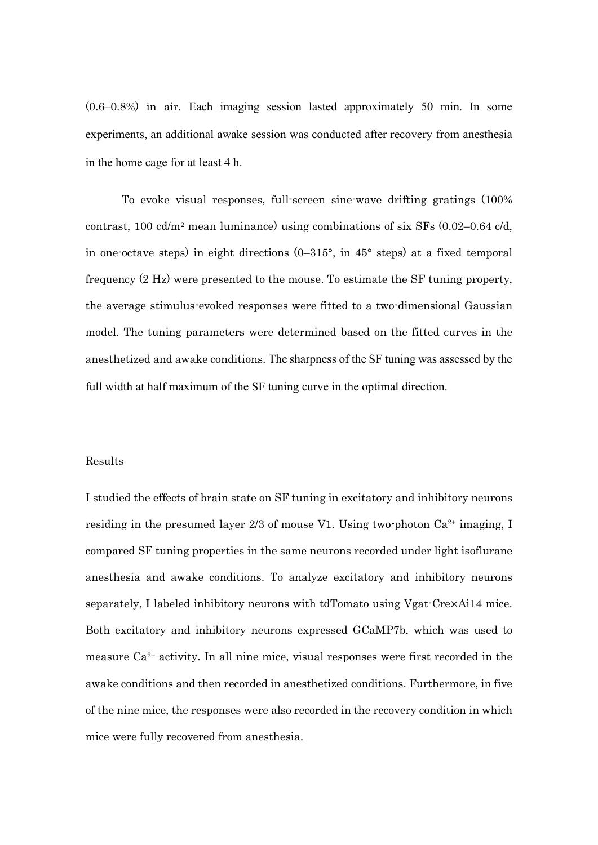(0.6–0.8%) in air. Each imaging session lasted approximately 50 min. In some experiments, an additional awake session was conducted after recovery from anesthesia in the home cage for at least 4 h.

To evoke visual responses, full-screen sine-wave drifting gratings (100% contrast, 100 cd/m<sup>2</sup> mean luminance) using combinations of six SFs  $(0.02-0.64 \text{ c/d})$ . in one-octave steps) in eight directions (0–315°, in 45° steps) at a fixed temporal frequency (2 Hz) were presented to the mouse. To estimate the SF tuning property, the average stimulus-evoked responses were fitted to a two-dimensional Gaussian model. The tuning parameters were determined based on the fitted curves in the anesthetized and awake conditions. The sharpness of the SF tuning was assessed by the full width at half maximum of the SF tuning curve in the optimal direction.

# Results

I studied the effects of brain state on SF tuning in excitatory and inhibitory neurons residing in the presumed layer 2/3 of mouse V1. Using two-photon  $Ca^{2+}$  imaging, I compared SF tuning properties in the same neurons recorded under light isoflurane anesthesia and awake conditions. To analyze excitatory and inhibitory neurons separately, I labeled inhibitory neurons with tdTomato using Vgat-Cre×Ai14 mice. Both excitatory and inhibitory neurons expressed GCaMP7b, which was used to measure  $Ca^{2+}$  activity. In all nine mice, visual responses were first recorded in the awake conditions and then recorded in anesthetized conditions. Furthermore, in five of the nine mice, the responses were also recorded in the recovery condition in which mice were fully recovered from anesthesia.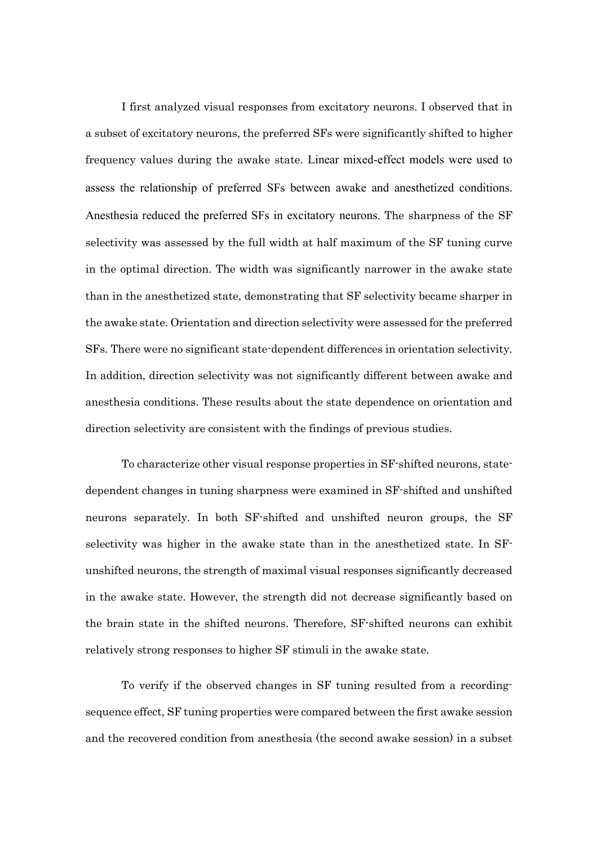I first analyzed visual responses from excitatory neurons. I observed that in a subset of excitatory neurons, the preferred SFs were significantly shifted to higher frequency values during the awake state. Linear mixed-effect models were used to assess the relationship of preferred SFs between awake and anesthetized conditions. Anesthesia reduced the preferred SFs in excitatory neurons. The sharpness of the SF selectivity was assessed by the full width at half maximum of the SF tuning curve in the optimal direction. The width was significantly narrower in the awake state than in the anesthetized state, demonstrating that SF selectivity became sharper in the awake state. Orientation and direction selectivity were assessed for the preferred SFs. There were no significant state-dependent differences in orientation selectivity. In addition, direction selectivity was not significantly different between awake and anesthesia conditions. These results about the state dependence on orientation and direction selectivity are consistent with the findings of previous studies.

To characterize other visual response properties in SF-shifted neurons, statedependent changes in tuning sharpness were examined in SF-shifted and unshifted neurons separately. In both SF-shifted and unshifted neuron groups, the SF selectivity was higher in the awake state than in the anesthetized state. In SFunshifted neurons, the strength of maximal visual responses significantly decreased in the awake state. However, the strength did not decrease significantly based on the brain state in the shifted neurons. Therefore, SF-shifted neurons can exhibit relatively strong responses to higher SF stimuli in the awake state.

To verify if the observed changes in SF tuning resulted from a recordingsequence effect, SF tuning properties were compared between the first awake session and the recovered condition from anesthesia (the second awake session) in a subset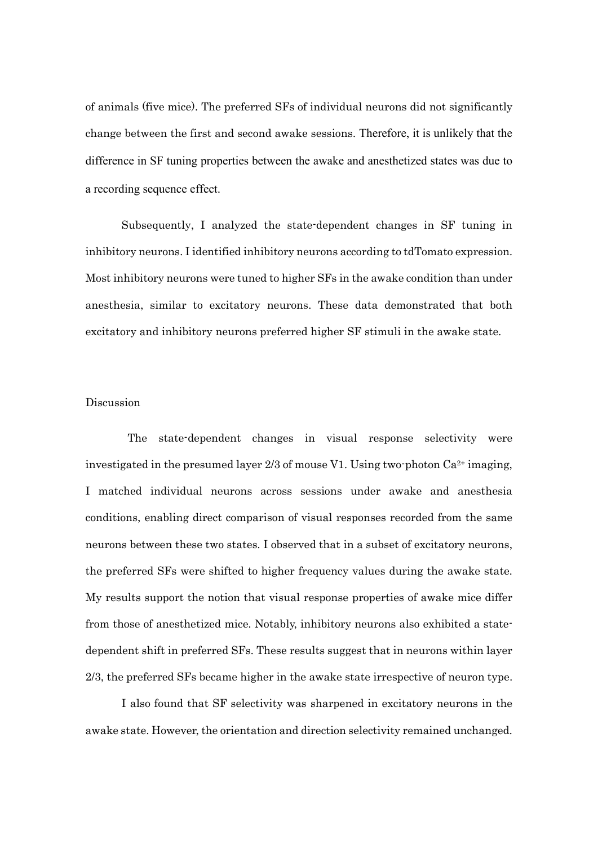of animals (five mice). The preferred SFs of individual neurons did not significantly change between the first and second awake sessions. Therefore, it is unlikely that the difference in SF tuning properties between the awake and anesthetized states was due to a recording sequence effect.

Subsequently, I analyzed the state-dependent changes in SF tuning in inhibitory neurons. I identified inhibitory neurons according to tdTomato expression. Most inhibitory neurons were tuned to higher SFs in the awake condition than under anesthesia, similar to excitatory neurons. These data demonstrated that both excitatory and inhibitory neurons preferred higher SF stimuli in the awake state.

# Discussion

The state-dependent changes in visual response selectivity were investigated in the presumed layer  $2/3$  of mouse V1. Using two-photon  $Ca^{2+}$  imaging, I matched individual neurons across sessions under awake and anesthesia conditions, enabling direct comparison of visual responses recorded from the same neurons between these two states. I observed that in a subset of excitatory neurons, the preferred SFs were shifted to higher frequency values during the awake state. My results support the notion that visual response properties of awake mice differ from those of anesthetized mice. Notably, inhibitory neurons also exhibited a statedependent shift in preferred SFs. These results suggest that in neurons within layer 2/3, the preferred SFs became higher in the awake state irrespective of neuron type.

I also found that SF selectivity was sharpened in excitatory neurons in the awake state. However, the orientation and direction selectivity remained unchanged.